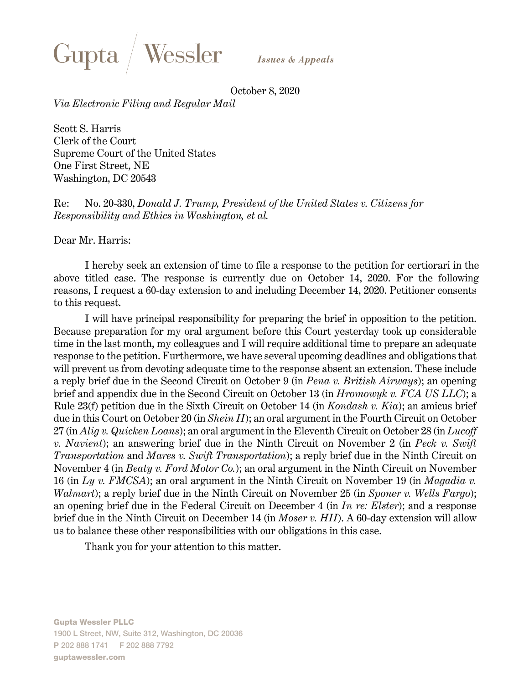

**Issues & Appeals** 

October 8, 2020

*Via Electronic Filing and Regular Mail*

Scott S. Harris Clerk of the Court Supreme Court of the United States One First Street, NE Washington, DC 20543

Re: No. 20-330, *Donald J. Trump, President of the United States v. Citizens for Responsibility and Ethics in Washington, et al.* 

Dear Mr. Harris:

I hereby seek an extension of time to file a response to the petition for certiorari in the above titled case. The response is currently due on October 14, 2020. For the following reasons, I request a 60-day extension to and including December 14, 2020. Petitioner consents to this request.

I will have principal responsibility for preparing the brief in opposition to the petition. Because preparation for my oral argument before this Court yesterday took up considerable time in the last month, my colleagues and I will require additional time to prepare an adequate response to the petition. Furthermore, we have several upcoming deadlines and obligations that will prevent us from devoting adequate time to the response absent an extension. These include a reply brief due in the Second Circuit on October 9 (in *Pena v. British Airways*); an opening brief and appendix due in the Second Circuit on October 13 (in *Hromowyk v. FCA US LLC*); a Rule 23(f) petition due in the Sixth Circuit on October 14 (in *Kondash v. Kia*); an amicus brief due in this Court on October 20 (in *Shein II*); an oral argument in the Fourth Circuit on October 27 (in *Alig v. Quicken Loans*); an oral argument in the Eleventh Circuit on October 28 (in *Lucoff v. Navient*); an answering brief due in the Ninth Circuit on November 2 (in *Peck v. Swift Transportation* and *Mares v. Swift Transportation*); a reply brief due in the Ninth Circuit on November 4 (in *Beaty v. Ford Motor Co.*); an oral argument in the Ninth Circuit on November 16 (in *Ly v. FMCSA*); an oral argument in the Ninth Circuit on November 19 (in *Magadia v. Walmart*); a reply brief due in the Ninth Circuit on November 25 (in *Sponer v. Wells Fargo*); an opening brief due in the Federal Circuit on December 4 (in *In re: Elster*); and a response brief due in the Ninth Circuit on December 14 (in *Moser v. HII*). A 60-day extension will allow us to balance these other responsibilities with our obligations in this case.

Thank you for your attention to this matter.

Gupta Wessler PLLC 1900 L Street, NW, Suite 312, Washington, DC 20036 **P** 202 888 1741 **F** 202 888 7792 guptawessler.com